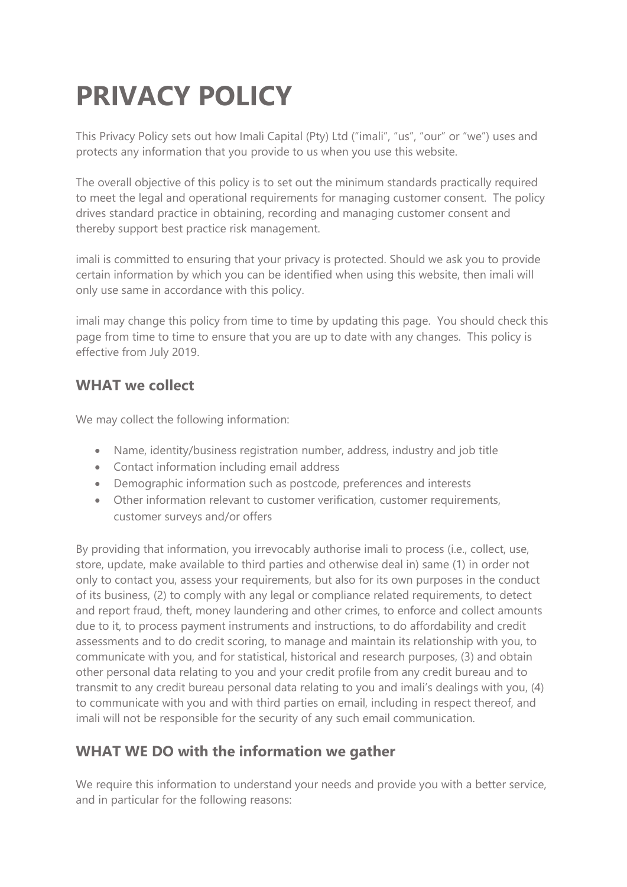# **PRIVACY POLICY**

This Privacy Policy sets out how Imali Capital (Pty) Ltd ("imali", "us", "our" or "we") uses and protects any information that you provide to us when you use this website.

The overall objective of this policy is to set out the minimum standards practically required to meet the legal and operational requirements for managing customer consent. The policy drives standard practice in obtaining, recording and managing customer consent and thereby support best practice risk management.

imali is committed to ensuring that your privacy is protected. Should we ask you to provide certain information by which you can be identified when using this website, then imali will only use same in accordance with this policy.

imali may change this policy from time to time by updating this page. You should check this page from time to time to ensure that you are up to date with any changes. This policy is effective from July 2019.

### **WHAT we collect**

We may collect the following information:

- Name, identity/business registration number, address, industry and job title
- Contact information including email address
- Demographic information such as postcode, preferences and interests
- Other information relevant to customer verification, customer requirements, customer surveys and/or offers

By providing that information, you irrevocably authorise imali to process (i.e., collect, use, store, update, make available to third parties and otherwise deal in) same (1) in order not only to contact you, assess your requirements, but also for its own purposes in the conduct of its business, (2) to comply with any legal or compliance related requirements, to detect and report fraud, theft, money laundering and other crimes, to enforce and collect amounts due to it, to process payment instruments and instructions, to do affordability and credit assessments and to do credit scoring, to manage and maintain its relationship with you, to communicate with you, and for statistical, historical and research purposes, (3) and obtain other personal data relating to you and your credit profile from any credit bureau and to transmit to any credit bureau personal data relating to you and imali's dealings with you, (4) to communicate with you and with third parties on email, including in respect thereof, and imali will not be responsible for the security of any such email communication.

## **WHAT WE DO with the information we gather**

We require this information to understand your needs and provide you with a better service, and in particular for the following reasons: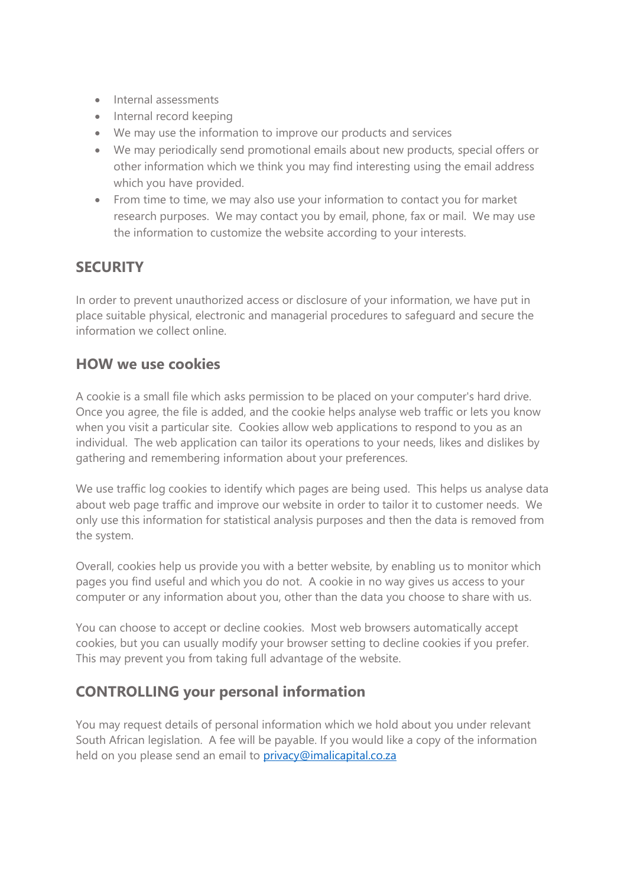- Internal assessments
- Internal record keeping
- We may use the information to improve our products and services
- We may periodically send promotional emails about new products, special offers or other information which we think you may find interesting using the email address which you have provided.
- From time to time, we may also use your information to contact you for market research purposes. We may contact you by email, phone, fax or mail. We may use the information to customize the website according to your interests.

## **SECURITY**

In order to prevent unauthorized access or disclosure of your information, we have put in place suitable physical, electronic and managerial procedures to safeguard and secure the information we collect online.

#### **HOW we use cookies**

A cookie is a small file which asks permission to be placed on your computer's hard drive. Once you agree, the file is added, and the cookie helps analyse web traffic or lets you know when you visit a particular site. Cookies allow web applications to respond to you as an individual. The web application can tailor its operations to your needs, likes and dislikes by gathering and remembering information about your preferences.

We use traffic log cookies to identify which pages are being used. This helps us analyse data about web page traffic and improve our website in order to tailor it to customer needs. We only use this information for statistical analysis purposes and then the data is removed from the system.

Overall, cookies help us provide you with a better website, by enabling us to monitor which pages you find useful and which you do not. A cookie in no way gives us access to your computer or any information about you, other than the data you choose to share with us.

You can choose to accept or decline cookies. Most web browsers automatically accept cookies, but you can usually modify your browser setting to decline cookies if you prefer. This may prevent you from taking full advantage of the website.

#### **CONTROLLING your personal information**

You may request details of personal information which we hold about you under relevant South African legislation. A fee will be payable. If you would like a copy of the information held on you please send an email to [privacy@imalicapital.co.za](mailto:privacy@imalicapital.co.za)